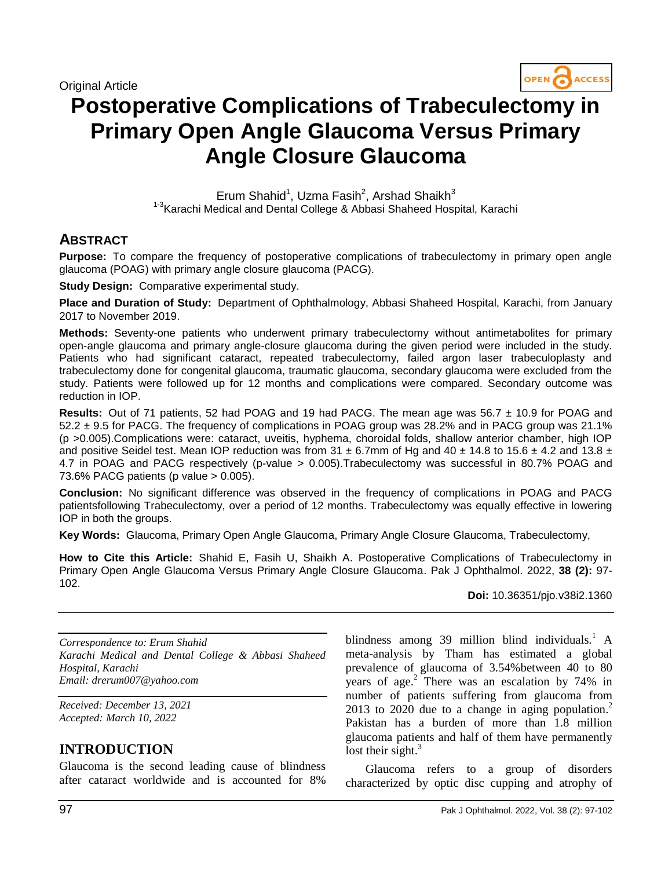Original Article



# **Postoperative Complications of Trabeculectomy in Primary Open Angle Glaucoma Versus Primary Angle Closure Glaucoma**

Erum Shahid<sup>1</sup>, Uzma Fasih<sup>2</sup>, Arshad Shaikh<sup>3</sup> <sup>1-3</sup> Karachi Medical and Dental College & Abbasi Shaheed Hospital, Karachi

## **ABSTRACT**

**Purpose:** To compare the frequency of postoperative complications of trabeculectomy in primary open angle glaucoma (POAG) with primary angle closure glaucoma (PACG).

**Study Design:** Comparative experimental study.

**Place and Duration of Study:** Department of Ophthalmology, Abbasi Shaheed Hospital, Karachi, from January 2017 to November 2019.

**Methods:** Seventy-one patients who underwent primary trabeculectomy without antimetabolites for primary open-angle glaucoma and primary angle-closure glaucoma during the given period were included in the study. Patients who had significant cataract, repeated trabeculectomy, failed argon laser trabeculoplasty and trabeculectomy done for congenital glaucoma, traumatic glaucoma, secondary glaucoma were excluded from the study. Patients were followed up for 12 months and complications were compared. Secondary outcome was reduction in IOP.

**Results:** Out of 71 patients, 52 had POAG and 19 had PACG. The mean age was 56.7 ± 10.9 for POAG and 52.2 ± 9.5 for PACG. The frequency of complications in POAG group was 28.2% and in PACG group was 21.1% (p >0.005).Complications were: cataract, uveitis, hyphema, choroidal folds, shallow anterior chamber, high IOP and positive Seidel test. Mean IOP reduction was from 31  $\pm$  6.7mm of Hg and 40  $\pm$  14.8 to 15.6  $\pm$  4.2 and 13.8  $\pm$ 4.7 in POAG and PACG respectively (p-value > 0.005).Trabeculectomy was successful in 80.7% POAG and 73.6% PACG patients (p value > 0.005).

**Conclusion:** No significant difference was observed in the frequency of complications in POAG and PACG patientsfollowing Trabeculectomy, over a period of 12 months. Trabeculectomy was equally effective in lowering IOP in both the groups.

**Key Words:** Glaucoma, Primary Open Angle Glaucoma, Primary Angle Closure Glaucoma, Trabeculectomy,

**How to Cite this Article:** Shahid E, Fasih U, Shaikh A. Postoperative Complications of Trabeculectomy in Primary Open Angle Glaucoma Versus Primary Angle Closure Glaucoma. Pak J Ophthalmol. 2022, **38 (2):** 97- 102.

**Doi:** 10.36351/pjo.v38i2.1360

*Correspondence to: Erum Shahid Karachi Medical and Dental College & Abbasi Shaheed Hospital, Karachi Email: drerum007@yahoo.com*

*Received: December 13, 2021 Accepted: March 10, 2022*

# **INTRODUCTION**

Glaucoma is the second leading cause of blindness after cataract worldwide and is accounted for 8% blindness among 39 million blind individuals.<sup>1</sup> A meta-analysis by Tham has estimated a global prevalence of glaucoma of 3.54%between 40 to 80 years of age. $^2$  There was an escalation by 74% in number of patients suffering from glaucoma from 2013 to 2020 due to a change in aging population.<sup>2</sup> Pakistan has a burden of more than 1.8 million glaucoma patients and half of them have permanently lost their sight. $3$ 

Glaucoma refers to a group of disorders characterized by optic disc cupping and atrophy of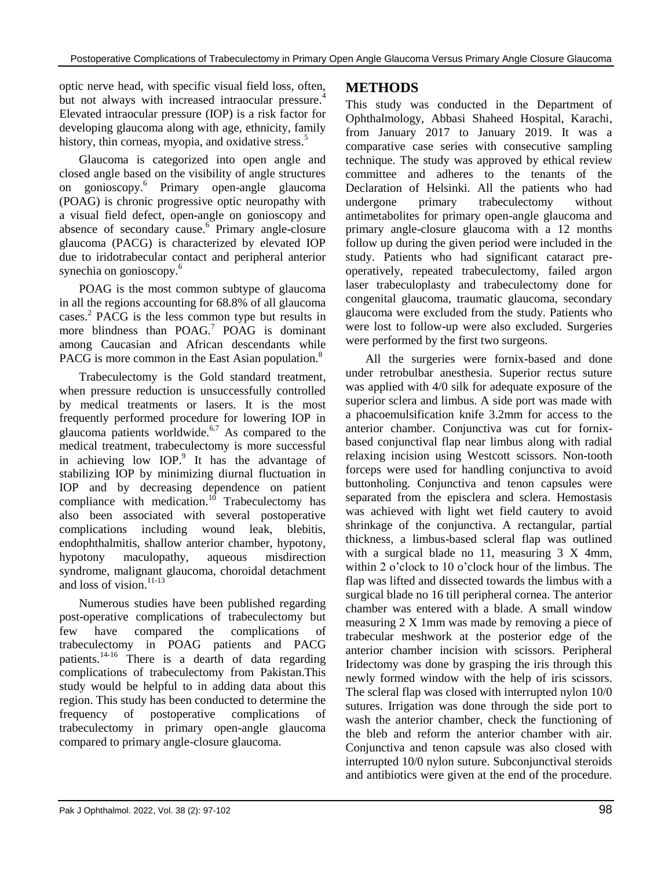optic nerve head, with specific visual field loss, often, but not always with increased intraocular pressure.<sup>4</sup> Elevated intraocular pressure (IOP) is a risk factor for developing glaucoma along with age, ethnicity, family history, thin corneas, myopia, and oxidative stress.<sup>5</sup>

Glaucoma is categorized into open angle and closed angle based on the visibility of angle structures on gonioscopy.<sup>6</sup> Primary open-angle glaucoma (POAG) is chronic progressive optic neuropathy with a visual field defect, open-angle on gonioscopy and absence of secondary cause.<sup>6</sup> Primary angle-closure glaucoma (PACG) is characterized by elevated IOP due to iridotrabecular contact and peripheral anterior synechia on gonioscopy.<sup>6</sup>

POAG is the most common subtype of glaucoma in all the regions accounting for 68.8% of all glaucoma cases.<sup>2</sup> PACG is the less common type but results in more blindness than  $POAG<sup>7</sup> POAG$  is dominant among Caucasian and African descendants while PACG is more common in the East Asian population.<sup>8</sup>

Trabeculectomy is the Gold standard treatment, when pressure reduction is unsuccessfully controlled by medical treatments or lasers. It is the most frequently performed procedure for lowering IOP in glaucoma patients worldwide. $6,7$  As compared to the medical treatment, trabeculectomy is more successful in achieving low  $IOP<sup>9</sup>$  It has the advantage of stabilizing IOP by minimizing diurnal fluctuation in IOP and by decreasing dependence on patient compliance with medication. $10$  Trabeculectomy has also been associated with several postoperative complications including wound leak, blebitis, endophthalmitis, shallow anterior chamber, hypotony, hypotony maculopathy, aqueous misdirection syndrome, malignant glaucoma, choroidal detachment and loss of vision. $11-13$ 

Numerous studies have been published regarding post-operative complications of trabeculectomy but few have compared the complications of trabeculectomy in POAG patients and PACG patients.<sup>14-16</sup> There is a dearth of data regarding complications of trabeculectomy from Pakistan.This study would be helpful to in adding data about this region. This study has been conducted to determine the frequency of postoperative complications of trabeculectomy in primary open-angle glaucoma compared to primary angle-closure glaucoma.

# **METHODS**

This study was conducted in the Department of Ophthalmology, Abbasi Shaheed Hospital, Karachi, from January 2017 to January 2019. It was a comparative case series with consecutive sampling technique. The study was approved by ethical review committee and adheres to the tenants of the Declaration of Helsinki. All the patients who had undergone primary trabeculectomy without antimetabolites for primary open-angle glaucoma and primary angle-closure glaucoma with a 12 months follow up during the given period were included in the study. Patients who had significant cataract preoperatively, repeated trabeculectomy, failed argon laser trabeculoplasty and trabeculectomy done for congenital glaucoma, traumatic glaucoma, secondary glaucoma were excluded from the study. Patients who were lost to follow-up were also excluded. Surgeries were performed by the first two surgeons.

All the surgeries were fornix-based and done under retrobulbar anesthesia. Superior rectus suture was applied with 4/0 silk for adequate exposure of the superior sclera and limbus. A side port was made with a phacoemulsification knife 3.2mm for access to the anterior chamber. Conjunctiva was cut for fornixbased conjunctival flap near limbus along with radial relaxing incision using Westcott scissors. Non-tooth forceps were used for handling conjunctiva to avoid buttonholing. Conjunctiva and tenon capsules were separated from the episclera and sclera. Hemostasis was achieved with light wet field cautery to avoid shrinkage of the conjunctiva. A rectangular, partial thickness, a limbus-based scleral flap was outlined with a surgical blade no 11, measuring 3 X 4mm, within 2 o'clock to 10 o'clock hour of the limbus. The flap was lifted and dissected towards the limbus with a surgical blade no 16 till peripheral cornea. The anterior chamber was entered with a blade. A small window measuring 2 X 1mm was made by removing a piece of trabecular meshwork at the posterior edge of the anterior chamber incision with scissors. Peripheral Iridectomy was done by grasping the iris through this newly formed window with the help of iris scissors. The scleral flap was closed with interrupted nylon 10/0 sutures. Irrigation was done through the side port to wash the anterior chamber, check the functioning of the bleb and reform the anterior chamber with air. Conjunctiva and tenon capsule was also closed with interrupted 10/0 nylon suture. Subconjunctival steroids and antibiotics were given at the end of the procedure.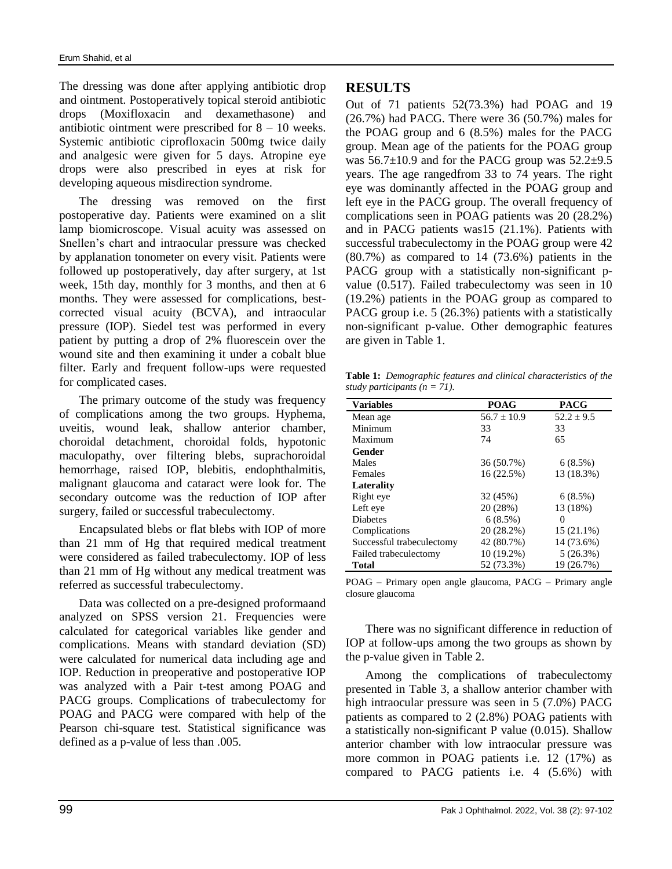The dressing was done after applying antibiotic drop and ointment. Postoperatively topical steroid antibiotic drops (Moxifloxacin and dexamethasone) and antibiotic ointment were prescribed for  $8 - 10$  weeks. Systemic antibiotic ciprofloxacin 500mg twice daily and analgesic were given for 5 days. Atropine eye drops were also prescribed in eyes at risk for developing aqueous misdirection syndrome.

The dressing was removed on the first postoperative day. Patients were examined on a slit lamp biomicroscope. Visual acuity was assessed on Snellen's chart and intraocular pressure was checked by applanation tonometer on every visit. Patients were followed up postoperatively, day after surgery, at 1st week, 15th day, monthly for 3 months, and then at 6 months. They were assessed for complications, bestcorrected visual acuity (BCVA), and intraocular pressure (IOP). Siedel test was performed in every patient by putting a drop of 2% fluorescein over the wound site and then examining it under a cobalt blue filter. Early and frequent follow-ups were requested for complicated cases.

The primary outcome of the study was frequency of complications among the two groups. Hyphema, uveitis, wound leak, shallow anterior chamber, choroidal detachment, choroidal folds, hypotonic maculopathy, over filtering blebs, suprachoroidal hemorrhage, raised IOP, blebitis, endophthalmitis, malignant glaucoma and cataract were look for. The secondary outcome was the reduction of IOP after surgery, failed or successful trabeculectomy.

Encapsulated blebs or flat blebs with IOP of more than 21 mm of Hg that required medical treatment were considered as failed trabeculectomy. IOP of less than 21 mm of Hg without any medical treatment was referred as successful trabeculectomy.

Data was collected on a pre-designed proformaand analyzed on SPSS version 21. Frequencies were calculated for categorical variables like gender and complications. Means with standard deviation (SD) were calculated for numerical data including age and IOP. Reduction in preoperative and postoperative IOP was analyzed with a Pair t-test among POAG and PACG groups. Complications of trabeculectomy for POAG and PACG were compared with help of the Pearson chi-square test. Statistical significance was defined as a p-value of less than .005.

## **RESULTS**

Out of 71 patients 52(73.3%) had POAG and 19 (26.7%) had PACG. There were 36 (50.7%) males for the POAG group and 6 (8.5%) males for the PACG group. Mean age of the patients for the POAG group was  $56.7\pm10.9$  and for the PACG group was  $52.2\pm9.5$ years. The age rangedfrom 33 to 74 years. The right eye was dominantly affected in the POAG group and left eye in the PACG group. The overall frequency of complications seen in POAG patients was 20 (28.2%) and in PACG patients was15 (21.1%). Patients with successful trabeculectomy in the POAG group were 42 (80.7%) as compared to 14 (73.6%) patients in the PACG group with a statistically non-significant pvalue (0.517). Failed trabeculectomy was seen in 10 (19.2%) patients in the POAG group as compared to PACG group i.e. 5 (26.3%) patients with a statistically non-significant p-value. Other demographic features are given in Table 1.

**Table 1:** *Demographic features and clinical characteristics of the study participants (n = 71).*

| <b>Variables</b>          | <b>POAG</b>     | <b>PACG</b>  |
|---------------------------|-----------------|--------------|
| Mean age                  | $56.7 \pm 10.9$ | $52.2 + 9.5$ |
| Minimum                   | 33              | 33           |
| Maximum                   | 74              | 65           |
| Gender                    |                 |              |
| Males                     | 36 (50.7%)      | 6(8.5%)      |
| Females                   | 16 (22.5%)      | 13 (18.3%)   |
| Laterality                |                 |              |
| Right eye                 | 32 (45%)        | 6(8.5%)      |
| Left eye                  | 20 (28%)        | 13 (18%)     |
| <b>Diabetes</b>           | 6(8.5%)         | 0            |
| Complications             | 20 (28.2%)      | $15(21.1\%)$ |
| Successful trabeculectomy | 42 (80.7%)      | 14 (73.6%)   |
| Failed trabeculectomy     | 10 (19.2%)      | 5(26.3%)     |
| <b>Total</b>              | 52 (73.3%)      | 19 (26.7%)   |

POAG – Primary open angle glaucoma, PACG – Primary angle closure glaucoma

There was no significant difference in reduction of IOP at follow-ups among the two groups as shown by the p-value given in Table 2.

Among the complications of trabeculectomy presented in Table 3, a shallow anterior chamber with high intraocular pressure was seen in 5 (7.0%) PACG patients as compared to 2 (2.8%) POAG patients with a statistically non-significant P value (0.015). Shallow anterior chamber with low intraocular pressure was more common in POAG patients i.e. 12 (17%) as compared to PACG patients i.e. 4 (5.6%) with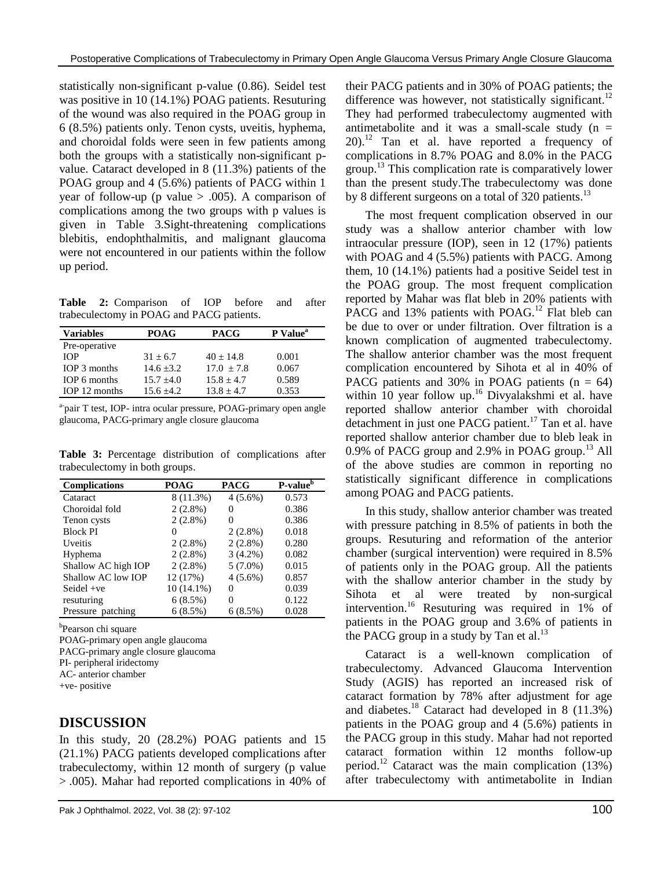statistically non-significant p-value (0.86). Seidel test was positive in 10 (14.1%) POAG patients. Resuturing of the wound was also required in the POAG group in 6 (8.5%) patients only. Tenon cysts, uveitis, hyphema, and choroidal folds were seen in few patients among both the groups with a statistically non-significant pvalue. Cataract developed in 8 (11.3%) patients of the POAG group and 4 (5.6%) patients of PACG within 1 year of follow-up (p value  $> .005$ ). A comparison of complications among the two groups with p values is given in Table 3.Sight-threatening complications blebitis, endophthalmitis, and malignant glaucoma were not encountered in our patients within the follow up period.

**Table 2:** Comparison of IOP before and after trabeculectomy in POAG and PACG patients.

| <b>Variables</b> | <b>POAG</b>  | <b>PACG</b>  | P Value <sup>a</sup> |
|------------------|--------------|--------------|----------------------|
| Pre-operative    |              |              |                      |
| <b>TOP</b>       | $31 + 6.7$   | $40 + 14.8$  | 0.001                |
| IOP 3 months     | $14.6 + 3.2$ | $17.0 + 7.8$ | 0.067                |
| IOP 6 months     | $15.7 + 4.0$ | $15.8 + 4.7$ | 0.589                |
| IOP 12 months    | $15.6 + 4.2$ | $13.8 + 4.7$ | 0.353                |

<sup>a-</sup>pair T test, IOP- intra ocular pressure, POAG-primary open angle glaucoma, PACG-primary angle closure glaucoma

**Table 3:** Percentage distribution of complications after trabeculectomy in both groups.

| <b>Complications</b> | <b>POAG</b> | <b>PACG</b> | $P-value6$ |
|----------------------|-------------|-------------|------------|
| Cataract             | 8 (11.3%)   | $4(5.6\%)$  | 0.573      |
| Choroidal fold       | $2(2.8\%)$  | 0           | 0.386      |
| Tenon cysts          | $2(2.8\%)$  | 0           | 0.386      |
| <b>Block PI</b>      | 0           | $2(2.8\%)$  | 0.018      |
| Uveitis              | $2(2.8\%)$  | $2(2.8\%)$  | 0.280      |
| Hyphema              | $2(2.8\%)$  | $3(4.2\%)$  | 0.082      |
| Shallow AC high IOP  | $2(2.8\%)$  | $5(7.0\%)$  | 0.015      |
| Shallow AC low IOP   | 12 (17%)    | $4(5.6\%)$  | 0.857      |
| Seidel $+ve$         | 10 (14.1%)  | 0           | 0.039      |
| resuturing           | 6(8.5%)     | 0           | 0.122      |
| Pressure patching    | 6(8.5%)     | 6(8.5%)     | 0.028      |

<sup>b</sup>Pearson chi square

POAG-primary open angle glaucoma PACG-primary angle closure glaucoma

PI- peripheral iridectomy

AC- anterior chamber

+ve- positive

# **DISCUSSION**

In this study, 20 (28.2%) POAG patients and 15 (21.1%) PACG patients developed complications after trabeculectomy, within 12 month of surgery (p value > .005). Mahar had reported complications in 40% of their PACG patients and in 30% of POAG patients; the difference was however, not statistically significant.<sup>12</sup> They had performed trabeculectomy augmented with antimetabolite and it was a small-scale study  $(n =$  $20$ ).<sup>12</sup> Tan et al. have reported a frequency of complications in 8.7% POAG and 8.0% in the PACG group.<sup>13</sup> This complication rate is comparatively lower than the present study.The trabeculectomy was done by 8 different surgeons on a total of 320 patients.<sup>13</sup>

The most frequent complication observed in our study was a shallow anterior chamber with low intraocular pressure (IOP), seen in 12 (17%) patients with POAG and 4 (5.5%) patients with PACG. Among them, 10 (14.1%) patients had a positive Seidel test in the POAG group. The most frequent complication reported by Mahar was flat bleb in 20% patients with PACG and 13% patients with POAG.<sup>12</sup> Flat bleb can be due to over or under filtration. Over filtration is a known complication of augmented trabeculectomy. The shallow anterior chamber was the most frequent complication encountered by Sihota et al in 40% of PACG patients and 30% in POAG patients  $(n = 64)$ within 10 year follow up. <sup>16</sup> Divyalakshmi et al. have reported shallow anterior chamber with choroidal detachment in just one PACG patient.<sup>17</sup> Tan et al. have reported shallow anterior chamber due to bleb leak in 0.9% of PACG group and 2.9% in POAG group.<sup>13</sup> All of the above studies are common in reporting no statistically significant difference in complications among POAG and PACG patients.

In this study, shallow anterior chamber was treated with pressure patching in 8.5% of patients in both the groups. Resuturing and reformation of the anterior chamber (surgical intervention) were required in 8.5% of patients only in the POAG group. All the patients with the shallow anterior chamber in the study by Sihota et al were treated by non-surgical intervention. <sup>16</sup> Resuturing was required in 1% of patients in the POAG group and 3.6% of patients in the PACG group in a study by Tan et al.<sup>13</sup>

Cataract is a well-known complication of trabeculectomy. Advanced Glaucoma Intervention Study (AGIS) has reported an increased risk of cataract formation by 78% after adjustment for age and diabetes.<sup>18</sup> Cataract had developed in 8 (11.3%) patients in the POAG group and 4 (5.6%) patients in the PACG group in this study. Mahar had not reported cataract formation within 12 months follow-up period.<sup>12</sup> Cataract was the main complication  $(13\%)$ after trabeculectomy with antimetabolite in Indian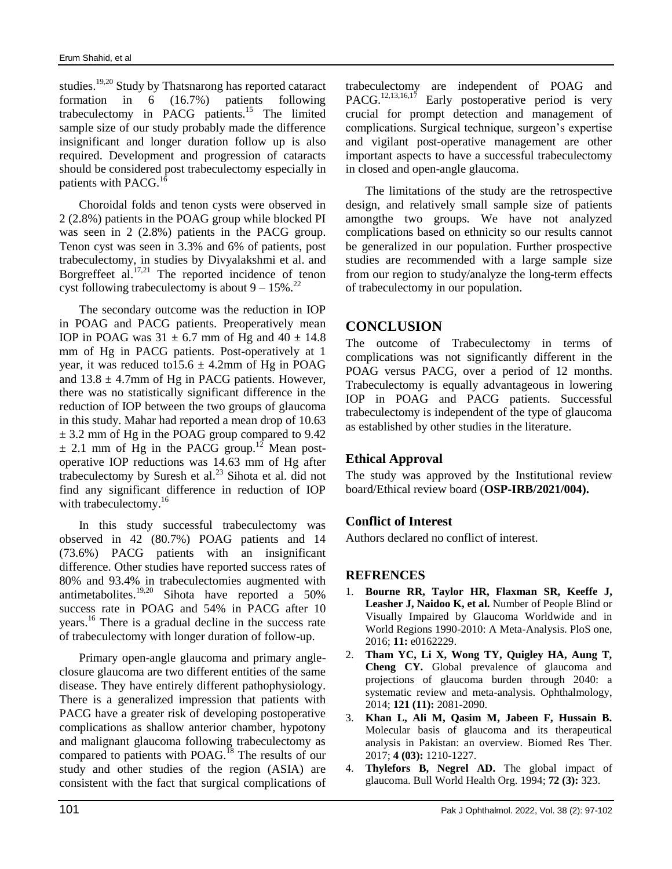studies.<sup>19,20</sup> Study by Thatsnarong has reported cataract formation in 6 (16.7%) patients following trabeculectomy in PACG patients.<sup>15</sup> The limited sample size of our study probably made the difference insignificant and longer duration follow up is also required. Development and progression of cataracts should be considered post trabeculectomy especially in patients with PACG.<sup>16</sup>

Choroidal folds and tenon cysts were observed in 2 (2.8%) patients in the POAG group while blocked PI was seen in 2 (2.8%) patients in the PACG group. Tenon cyst was seen in 3.3% and 6% of patients, post trabeculectomy, in studies by Divyalakshmi et al. and Borgreffeet al.<sup>17,21</sup> The reported incidence of tenon cyst following trabeculectomy is about  $9 - 15\%$ .<sup>22</sup>

The secondary outcome was the reduction in IOP in POAG and PACG patients. Preoperatively mean IOP in POAG was  $31 \pm 6.7$  mm of Hg and  $40 \pm 14.8$ mm of Hg in PACG patients. Post-operatively at 1 year, it was reduced to  $15.6 \pm 4.2$  mm of Hg in POAG and  $13.8 \pm 4.7$ mm of Hg in PACG patients. However, there was no statistically significant difference in the reduction of IOP between the two groups of glaucoma in this study. Mahar had reported a mean drop of 10.63  $\pm$  3.2 mm of Hg in the POAG group compared to 9.42  $\pm$  2.1 mm of Hg in the PACG group.<sup>12</sup> Mean postoperative IOP reductions was 14.63 mm of Hg after trabeculectomy by Suresh et al.<sup>23</sup> Sihota et al. did not find any significant difference in reduction of IOP with trabeculectomy.<sup>16</sup>

In this study successful trabeculectomy was observed in 42 (80.7%) POAG patients and 14 (73.6%) PACG patients with an insignificant difference. Other studies have reported success rates of 80% and 93.4% in trabeculectomies augmented with antimetabolites. $19,20$  Sihota have reported a 50% success rate in POAG and 54% in PACG after 10 years.<sup>16</sup> There is a gradual decline in the success rate of trabeculectomy with longer duration of follow-up.

Primary open-angle glaucoma and primary angleclosure glaucoma are two different entities of the same disease. They have entirely different pathophysiology. There is a generalized impression that patients with PACG have a greater risk of developing postoperative complications as shallow anterior chamber, hypotony and malignant glaucoma following trabeculectomy as compared to patients with POAG.<sup>18</sup> The results of our study and other studies of the region (ASIA) are consistent with the fact that surgical complications of trabeculectomy are independent of POAG and PACG.<sup>12,13,16,17</sup> Early postoperative period is very crucial for prompt detection and management of complications. Surgical technique, surgeon's expertise and vigilant post-operative management are other important aspects to have a successful trabeculectomy in closed and open-angle glaucoma.

The limitations of the study are the retrospective design, and relatively small sample size of patients amongthe two groups. We have not analyzed complications based on ethnicity so our results cannot be generalized in our population. Further prospective studies are recommended with a large sample size from our region to study/analyze the long-term effects of trabeculectomy in our population.

## **CONCLUSION**

The outcome of Trabeculectomy in terms of complications was not significantly different in the POAG versus PACG, over a period of 12 months. Trabeculectomy is equally advantageous in lowering IOP in POAG and PACG patients. Successful trabeculectomy is independent of the type of glaucoma as established by other studies in the literature.

#### **Ethical Approval**

The study was approved by the Institutional review board/Ethical review board (**OSP-IRB/2021/004).**

#### **Conflict of Interest**

Authors declared no conflict of interest.

#### **REFRENCES**

- 1. **Bourne RR, Taylor HR, Flaxman SR, Keeffe J, Leasher J, Naidoo K, et al.** Number of People Blind or Visually Impaired by Glaucoma Worldwide and in World Regions 1990-2010: A Meta-Analysis. PloS one, 2016; **11:** e0162229.
- 2. **Tham YC, Li X, Wong TY, Quigley HA, Aung T, Cheng CY.** Global prevalence of glaucoma and projections of glaucoma burden through 2040: a systematic review and meta-analysis. Ophthalmology, 2014; **121 (11):** 2081-2090.
- 3. **Khan L, Ali M, Qasim M, Jabeen F, Hussain B.** Molecular basis of glaucoma and its therapeutical analysis in Pakistan: an overview. Biomed Res Ther. 2017; **4 (03):** 1210-1227.
- 4. **Thylefors B, Negrel AD.** The global impact of glaucoma. Bull World Health Org. 1994; **72 (3):** 323.